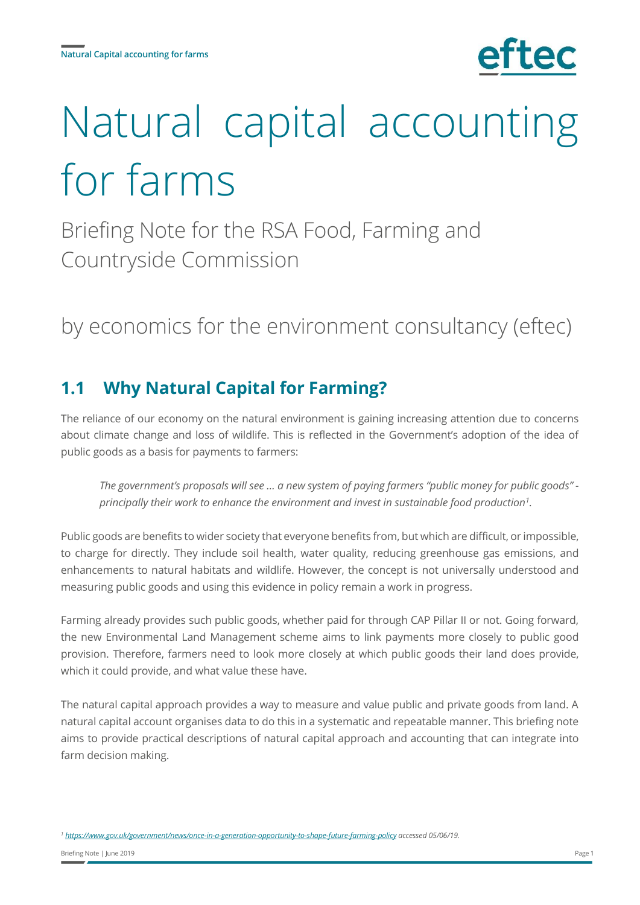# Natural capital accounting for farms

Briefing Note for the RSA Food, Farming and Countryside Commission

# by economics for the environment consultancy (eftec)

# **1.1 Why Natural Capital for Farming?**

The reliance of our economy on the natural environment is gaining increasing attention due to concerns about climate change and loss of wildlife. This is reflected in the Government's adoption of the idea of public goods as a basis for payments to farmers:

*The government's proposals will see … a new system of paying farmers "public money for public goods" principally their work to enhance the environment and invest in sustainable food production<sup>1</sup> .*

Public goods are benefits to wider society that everyone benefits from, but which are difficult, or impossible, to charge for directly. They include soil health, water quality, reducing greenhouse gas emissions, and enhancements to natural habitats and wildlife. However, the concept is not universally understood and measuring public goods and using this evidence in policy remain a work in progress.

Farming already provides such public goods, whether paid for through CAP Pillar II or not. Going forward, the new Environmental Land Management scheme aims to link payments more closely to public good provision. Therefore, farmers need to look more closely at which public goods their land does provide, which it could provide, and what value these have.

The natural capital approach provides a way to measure and value public and private goods from land. A natural capital account organises data to do this in a systematic and repeatable manner. This briefing note aims to provide practical descriptions of natural capital approach and accounting that can integrate into farm decision making.

*<sup>1</sup> <https://www.gov.uk/government/news/once-in-a-generation-opportunity-to-shape-future-farming-policy> accessed 05/06/19.*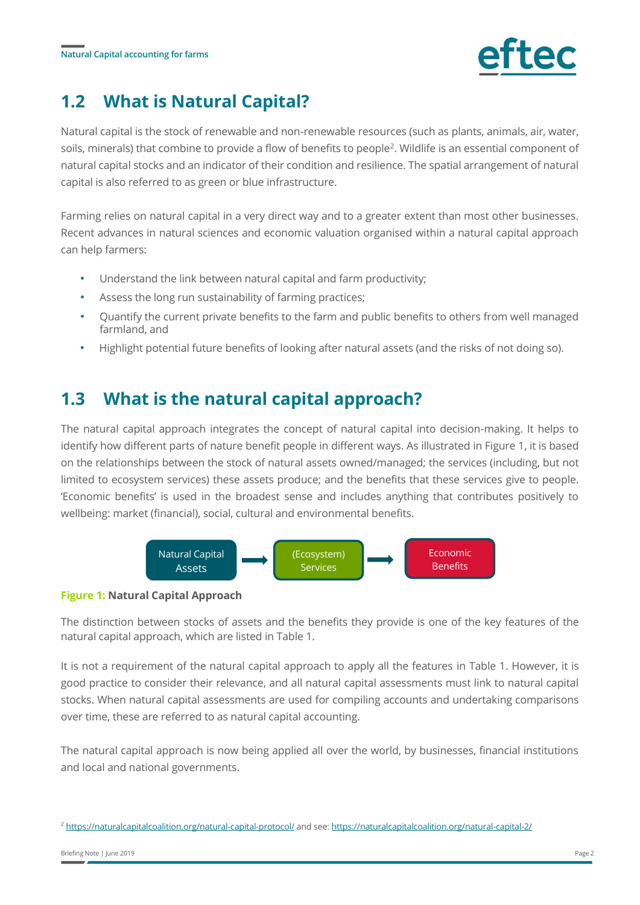

# **1.2 What is Natural Capital?**

Natural capital is the stock of renewable and non-renewable resources (such as plants, animals, air, water, soils, minerals) that combine to provide a flow of benefits to people<sup>2</sup>. Wildlife is an essential component of natural capital stocks and an indicator of their condition and resilience. The spatial arrangement of natural capital is also referred to as green or blue infrastructure.

Farming relies on natural capital in a very direct way and to a greater extent than most other businesses. Recent advances in natural sciences and economic valuation organised within a natural capital approach can help farmers:

- Understand the link between natural capital and farm productivity;
- Assess the long run sustainability of farming practices;
- Quantify the current private benefits to the farm and public benefits to others from well managed farmland, and
- Highlight potential future benefits of looking after natural assets (and the risks of not doing so).

### **1.3 What is the natural capital approach?**

The natural capital approach integrates the concept of natural capital into decision-making. It helps to identify how different parts of nature benefit people in different ways. As illustrated in Figure 1, it is based on the relationships between the stock of natural assets owned/managed; the services (including, but not limited to ecosystem services) these assets produce; and the benefits that these services give to people. 'Economic benefits' is used in the broadest sense and includes anything that contributes positively to wellbeing: market (financial), social, cultural and environmental benefits.



### **Figure 1: Natural Capital Approach**

The distinction between stocks of assets and the benefits they provide is one of the key features of the natural capital approach, which are listed in Table 1.

It is not a requirement of the natural capital approach to apply all the features in Table 1. However, it is good practice to consider their relevance, and all natural capital assessments must link to natural capital stocks. When natural capital assessments are used for compiling accounts and undertaking comparisons over time, these are referred to as natural capital accounting.

The natural capital approach is now being applied all over the world, by businesses, financial institutions and local and national governments.

<sup>2</sup> <https://naturalcapitalcoalition.org/natural-capital-protocol/> and see[: https://naturalcapitalcoalition.org/natural-capital-2/](https://naturalcapitalcoalition.org/natural-capital-2/)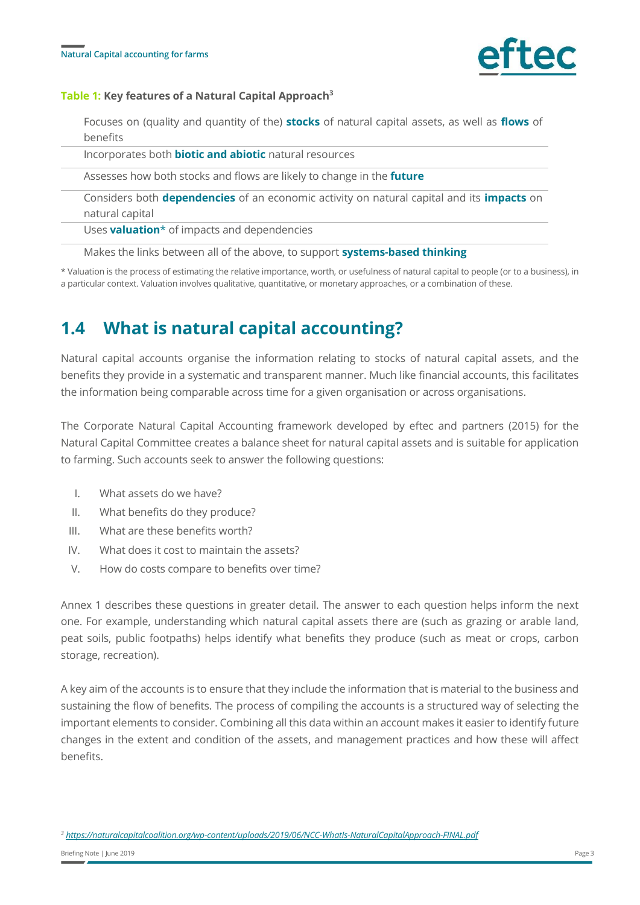

### **Table 1: Key features of a Natural Capital Approach<sup>3</sup>**

Focuses on (quality and quantity of the) **stocks** of natural capital assets, as well as **flows** of benefits

Incorporates both **biotic and abiotic** natural resources

Assesses how both stocks and flows are likely to change in the **future**

Considers both **dependencies** of an economic activity on natural capital and its **impacts** on natural capital

Uses **valuation**\* of impacts and dependencies

Makes the links between all of the above, to support **systems-based thinking**

\* Valuation is the process of estimating the relative importance, worth, or usefulness of natural capital to people (or to a business), in a particular context. Valuation involves qualitative, quantitative, or monetary approaches, or a combination of these.

### **1.4 What is natural capital accounting?**

Natural capital accounts organise the information relating to stocks of natural capital assets, and the benefits they provide in a systematic and transparent manner. Much like financial accounts, this facilitates the information being comparable across time for a given organisation or across organisations.

The Corporate Natural Capital Accounting framework developed by eftec and partners (2015) for the Natural Capital Committee creates a balance sheet for natural capital assets and is suitable for application to farming. Such accounts seek to answer the following questions:

- I. What assets do we have?
- II. What benefits do they produce?
- III. What are these benefits worth?
- IV. What does it cost to maintain the assets?
- V. How do costs compare to benefits over time?

Annex 1 describes these questions in greater detail. The answer to each question helps inform the next one. For example, understanding which natural capital assets there are (such as grazing or arable land, peat soils, public footpaths) helps identify what benefits they produce (such as meat or crops, carbon storage, recreation).

A key aim of the accounts is to ensure that they include the information that is material to the business and sustaining the flow of benefits. The process of compiling the accounts is a structured way of selecting the important elements to consider. Combining all this data within an account makes it easier to identify future changes in the extent and condition of the assets, and management practices and how these will affect benefits.

*<sup>3</sup> https://naturalcapitalcoalition.org/wp-content/uploads/2019/06/NCC-WhatIs-NaturalCapitalApproach-FINAL.pdf*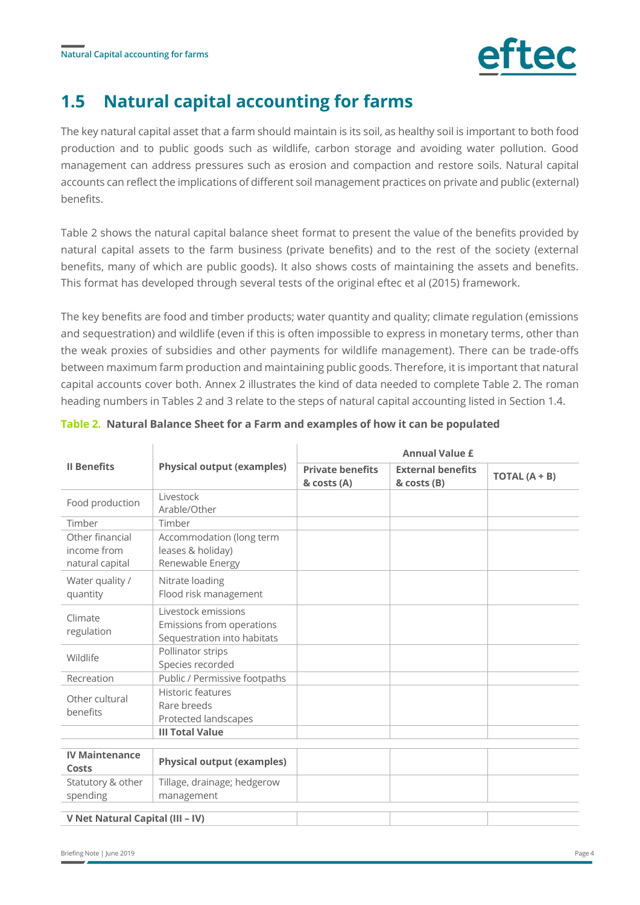

## **1.5 Natural capital accounting for farms**

The key natural capital asset that a farm should maintain is its soil, as healthy soil is important to both food production and to public goods such as wildlife, carbon storage and avoiding water pollution. Good management can address pressures such as erosion and compaction and restore soils. Natural capital accounts can reflect the implications of different soil management practices on private and public (external) benefits.

Table 2 shows the natural capital balance sheet format to present the value of the benefits provided by natural capital assets to the farm business (private benefits) and to the rest of the society (external benefits, many of which are public goods). It also shows costs of maintaining the assets and benefits. This format has developed through several tests of the original eftec et al (2015) framework.

The key benefits are food and timber products; water quantity and quality; climate regulation (emissions and sequestration) and wildlife (even if this is often impossible to express in monetary terms, other than the weak proxies of subsidies and other payments for wildlife management). There can be trade-offs between maximum farm production and maintaining public goods. Therefore, it is important that natural capital accounts cover both. Annex 2 illustrates the kind of data needed to complete Table 2. The roman heading numbers in Tables 2 and 3 relate to the steps of natural capital accounting listed in Section 1.4.

|                                                   | <b>Physical output (examples)</b>                                               | <b>Annual Value £</b>                  |                                         |                 |  |
|---------------------------------------------------|---------------------------------------------------------------------------------|----------------------------------------|-----------------------------------------|-----------------|--|
| <b>Il Benefits</b>                                |                                                                                 | <b>Private benefits</b><br>& costs (A) | <b>External benefits</b><br>& costs (B) | TOTAL $(A + B)$ |  |
| Food production                                   | Livestock<br>Arable/Other                                                       |                                        |                                         |                 |  |
| Timber                                            | Timber                                                                          |                                        |                                         |                 |  |
| Other financial<br>income from<br>natural capital | Accommodation (long term<br>leases & holiday)<br>Renewable Energy               |                                        |                                         |                 |  |
| Water quality /<br>quantity                       | Nitrate loading<br>Flood risk management                                        |                                        |                                         |                 |  |
| Climate<br>regulation                             | Livestock emissions<br>Emissions from operations<br>Sequestration into habitats |                                        |                                         |                 |  |
| Wildlife                                          | Pollinator strips<br>Species recorded                                           |                                        |                                         |                 |  |
| Recreation                                        | Public / Permissive footpaths                                                   |                                        |                                         |                 |  |
| Other cultural<br>benefits                        | <b>Historic features</b><br>Rare breeds<br>Protected landscapes                 |                                        |                                         |                 |  |
|                                                   | <b>III Total Value</b>                                                          |                                        |                                         |                 |  |
| <b>IV Maintenance</b><br>Costs                    | <b>Physical output (examples)</b>                                               |                                        |                                         |                 |  |
| Statutory & other<br>spending                     | Tillage, drainage; hedgerow<br>management                                       |                                        |                                         |                 |  |
| V Net Natural Capital (III - IV)                  |                                                                                 |                                        |                                         |                 |  |

#### **Table 2. Natural Balance Sheet for a Farm and examples of how it can be populated**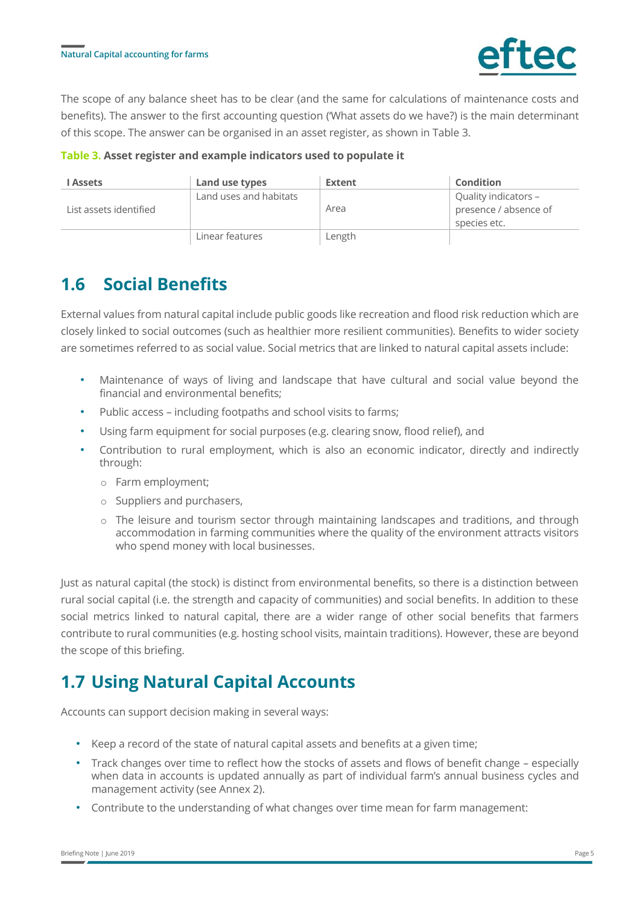

The scope of any balance sheet has to be clear (and the same for calculations of maintenance costs and benefits). The answer to the first accounting question ('What assets do we have?) is the main determinant of this scope. The answer can be organised in an asset register, as shown in Table 3.

**Table 3. Asset register and example indicators used to populate it**

| <b>LAssets</b>         | Land use types         | Extent | Condition                                                     |
|------------------------|------------------------|--------|---------------------------------------------------------------|
| List assets identified | Land uses and habitats | Area   | Quality indicators -<br>presence / absence of<br>species etc. |
|                        | Linear features        | Length |                                                               |

## **1.6 Social Benefits**

External values from natural capital include public goods like recreation and flood risk reduction which are closely linked to social outcomes (such as healthier more resilient communities). Benefits to wider society are sometimes referred to as social value. Social metrics that are linked to natural capital assets include:

- Maintenance of ways of living and landscape that have cultural and social value beyond the financial and environmental benefits;
- Public access including footpaths and school visits to farms;
- Using farm equipment for social purposes (e.g. clearing snow, flood relief), and
- Contribution to rural employment, which is also an economic indicator, directly and indirectly through:
	- o Farm employment;
	- o Suppliers and purchasers,
	- $\circ$  The leisure and tourism sector through maintaining landscapes and traditions, and through accommodation in farming communities where the quality of the environment attracts visitors who spend money with local businesses.

Just as natural capital (the stock) is distinct from environmental benefits, so there is a distinction between rural social capital (i.e. the strength and capacity of communities) and social benefits. In addition to these social metrics linked to natural capital, there are a wider range of other social benefits that farmers contribute to rural communities (e.g. hosting school visits, maintain traditions). However, these are beyond the scope of this briefing.

# **1.7 Using Natural Capital Accounts**

Accounts can support decision making in several ways:

- Keep a record of the state of natural capital assets and benefits at a given time;
- Track changes over time to reflect how the stocks of assets and flows of benefit change especially when data in accounts is updated annually as part of individual farm's annual business cycles and management activity (see Annex 2).
- Contribute to the understanding of what changes over time mean for farm management: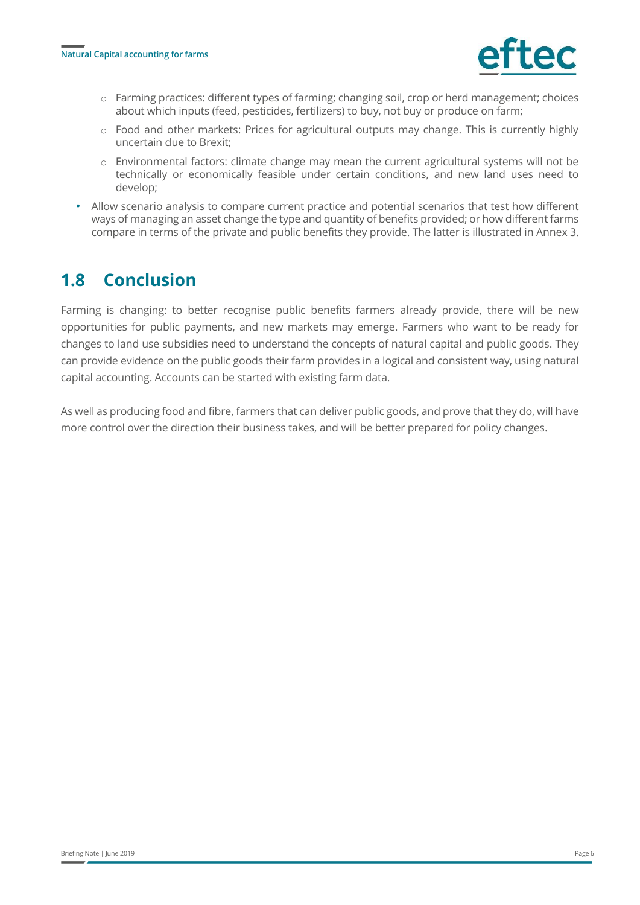

- o Farming practices: different types of farming; changing soil, crop or herd management; choices about which inputs (feed, pesticides, fertilizers) to buy, not buy or produce on farm;
- o Food and other markets: Prices for agricultural outputs may change. This is currently highly uncertain due to Brexit;
- o Environmental factors: climate change may mean the current agricultural systems will not be technically or economically feasible under certain conditions, and new land uses need to develop;
- Allow scenario analysis to compare current practice and potential scenarios that test how different ways of managing an asset change the type and quantity of benefits provided; or how different farms compare in terms of the private and public benefits they provide. The latter is illustrated in Annex 3.

### **1.8 Conclusion**

Farming is changing: to better recognise public benefits farmers already provide, there will be new opportunities for public payments, and new markets may emerge. Farmers who want to be ready for changes to land use subsidies need to understand the concepts of natural capital and public goods. They can provide evidence on the public goods their farm provides in a logical and consistent way, using natural capital accounting. Accounts can be started with existing farm data.

As well as producing food and fibre, farmers that can deliver public goods, and prove that they do, will have more control over the direction their business takes, and will be better prepared for policy changes.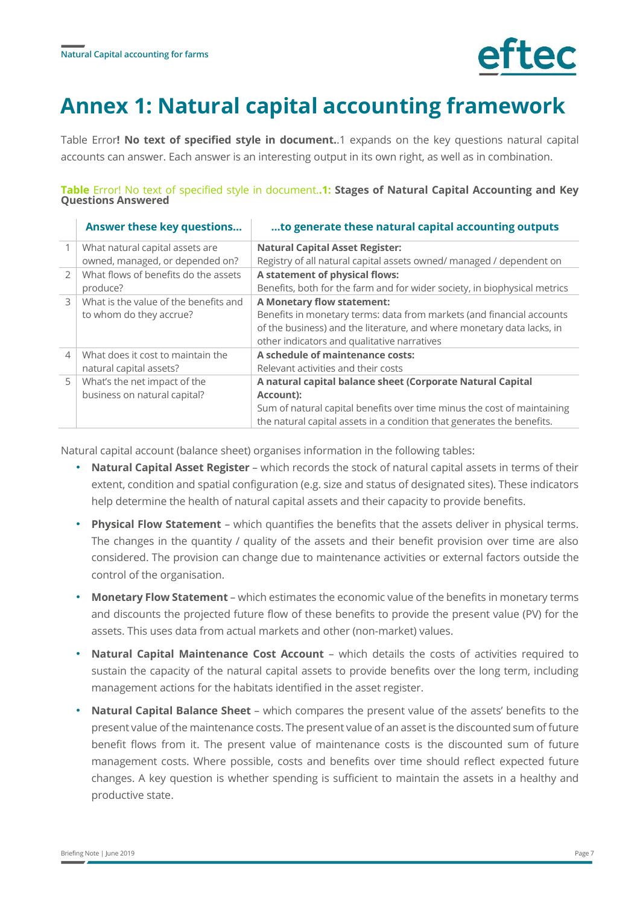

# **Annex 1: Natural capital accounting framework**

Table Error**[! No text of specified style in document.](#page-6-0)**.1 expands on the key questions natural capital accounts can answer. Each answer is an interesting output in its own right, as well as in combination.

<span id="page-6-0"></span>**Table** Error! No text of specified style in document.**.1: Stages of Natural Capital Accounting and Key Questions Answered**

|                | Answer these key questions            | to generate these natural capital accounting outputs                      |
|----------------|---------------------------------------|---------------------------------------------------------------------------|
|                | What natural capital assets are       | <b>Natural Capital Asset Register:</b>                                    |
|                | owned, managed, or depended on?       | Registry of all natural capital assets owned/ managed / dependent on      |
| $\mathcal{P}$  | What flows of benefits do the assets  | A statement of physical flows:                                            |
|                | produce?                              | Benefits, both for the farm and for wider society, in biophysical metrics |
| $\mathcal{L}$  | What is the value of the benefits and | <b>A Monetary flow statement:</b>                                         |
|                | to whom do they accrue?               | Benefits in monetary terms: data from markets (and financial accounts     |
|                |                                       | of the business) and the literature, and where monetary data lacks, in    |
|                |                                       | other indicators and qualitative narratives                               |
| $\overline{4}$ | What does it cost to maintain the     | A schedule of maintenance costs:                                          |
|                | natural capital assets?               | Relevant activities and their costs                                       |
| 5              | What's the net impact of the          | A natural capital balance sheet (Corporate Natural Capital                |
|                | business on natural capital?          | Account):                                                                 |
|                |                                       | Sum of natural capital benefits over time minus the cost of maintaining   |
|                |                                       | the natural capital assets in a condition that generates the benefits.    |

Natural capital account (balance sheet) organises information in the following tables:

- **Natural Capital Asset Register** which records the stock of natural capital assets in terms of their extent, condition and spatial configuration (e.g. size and status of designated sites). These indicators help determine the health of natural capital assets and their capacity to provide benefits.
- **Physical Flow Statement** which quantifies the benefits that the assets deliver in physical terms. The changes in the quantity / quality of the assets and their benefit provision over time are also considered. The provision can change due to maintenance activities or external factors outside the control of the organisation.
- **Monetary Flow Statement** which estimates the economic value of the benefits in monetary terms and discounts the projected future flow of these benefits to provide the present value (PV) for the assets. This uses data from actual markets and other (non-market) values.
- **Natural Capital Maintenance Cost Account** which details the costs of activities required to sustain the capacity of the natural capital assets to provide benefits over the long term, including management actions for the habitats identified in the asset register.
- **Natural Capital Balance Sheet** which compares the present value of the assets' benefits to the present value of the maintenance costs. The present value of an asset is the discounted sum of future benefit flows from it. The present value of maintenance costs is the discounted sum of future management costs. Where possible, costs and benefits over time should reflect expected future changes. A key question is whether spending is sufficient to maintain the assets in a healthy and productive state.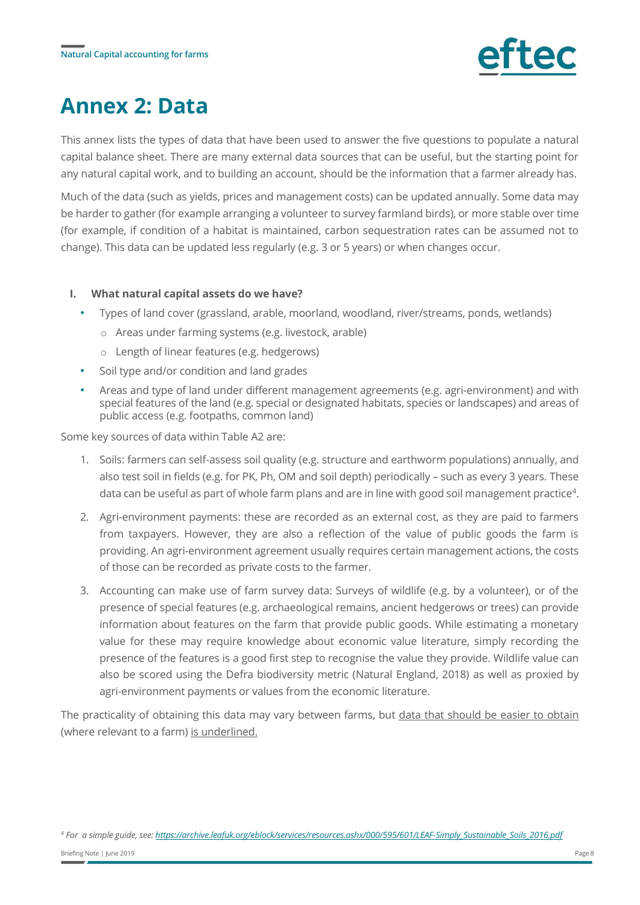

# **Annex 2: Data**

This annex lists the types of data that have been used to answer the five questions to populate a natural capital balance sheet. There are many external data sources that can be useful, but the starting point for any natural capital work, and to building an account, should be the information that a farmer already has.

Much of the data (such as yields, prices and management costs) can be updated annually. Some data may be harder to gather (for example arranging a volunteer to survey farmland birds), or more stable over time (for example, if condition of a habitat is maintained, carbon sequestration rates can be assumed not to change). This data can be updated less regularly (e.g. 3 or 5 years) or when changes occur.

#### **I. What natural capital assets do we have?**

- Types of land cover (grassland, arable, moorland, woodland, river/streams, ponds, wetlands)
	- o Areas under farming systems (e.g. livestock, arable)
	- o Length of linear features (e.g. hedgerows)
- Soil type and/or condition and land grades
- Areas and type of land under different management agreements (e.g. agri-environment) and with special features of the land (e.g. special or designated habitats, species or landscapes) and areas of public access (e.g. footpaths, common land)

Some key sources of data within Table A2 are:

- 1. Soils: farmers can self-assess soil quality (e.g. structure and earthworm populations) annually, and also test soil in fields (e.g. for PK, Ph, OM and soil depth) periodically – such as every 3 years. These data can be useful as part of whole farm plans and are in line with good soil management practice<sup>4</sup>.
- 2. Agri-environment payments: these are recorded as an external cost, as they are paid to farmers from taxpayers. However, they are also a reflection of the value of public goods the farm is providing. An agri-environment agreement usually requires certain management actions, the costs of those can be recorded as private costs to the farmer.
- 3. Accounting can make use of farm survey data: Surveys of wildlife (e.g. by a volunteer), or of the presence of special features (e.g. archaeological remains, ancient hedgerows or trees) can provide information about features on the farm that provide public goods. While estimating a monetary value for these may require knowledge about economic value literature, simply recording the presence of the features is a good first step to recognise the value they provide. Wildlife value can also be scored using the Defra biodiversity metric (Natural England, 2018) as well as proxied by agri-environment payments or values from the economic literature.

The practicality of obtaining this data may vary between farms, but data that should be easier to obtain (where relevant to a farm) is underlined.

*<sup>4</sup> For a simple guide, see: [https://archive.leafuk.org/eblock/services/resources.ashx/000/595/601/LEAF-Simply\\_Sustainable\\_Soils\\_2016.pdf](https://archive.leafuk.org/eblock/services/resources.ashx/000/595/601/LEAF-Simply_Sustainable_Soils_2016.pdf)*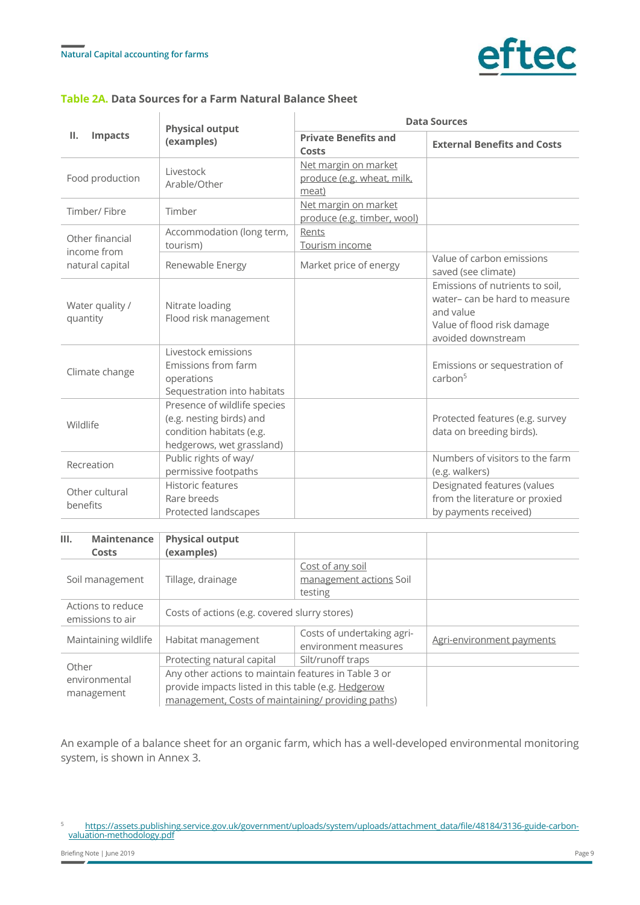

### **Table 2A. Data Sources for a Farm Natural Balance Sheet**

|                                | <b>Physical output</b><br>(examples)                                                                              | <b>Data Sources</b>                                         |                                                                                                                                  |  |  |
|--------------------------------|-------------------------------------------------------------------------------------------------------------------|-------------------------------------------------------------|----------------------------------------------------------------------------------------------------------------------------------|--|--|
| Ш.<br><b>Impacts</b>           |                                                                                                                   | <b>Private Benefits and</b><br>Costs                        | <b>External Benefits and Costs</b>                                                                                               |  |  |
| Food production                | Livestock<br>Arable/Other                                                                                         | Net margin on market<br>produce (e.g. wheat, milk,<br>meat) |                                                                                                                                  |  |  |
| Timber/Fibre                   | Timber                                                                                                            | Net margin on market<br>produce (e.g. timber, wool)         |                                                                                                                                  |  |  |
| Other financial<br>income from | Accommodation (long term,<br>tourism)                                                                             | Rents<br>Tourism income                                     |                                                                                                                                  |  |  |
| natural capital                | Renewable Energy                                                                                                  | Market price of energy                                      | Value of carbon emissions<br>saved (see climate)                                                                                 |  |  |
| Water quality /<br>quantity    | Nitrate loading<br>Flood risk management                                                                          |                                                             | Emissions of nutrients to soil,<br>water-can be hard to measure<br>and value<br>Value of flood risk damage<br>avoided downstream |  |  |
| Climate change                 | Livestock emissions<br>Emissions from farm<br>operations<br>Sequestration into habitats                           |                                                             | Emissions or sequestration of<br>carbon <sup>5</sup>                                                                             |  |  |
| Wildlife                       | Presence of wildlife species<br>(e.g. nesting birds) and<br>condition habitats (e.g.<br>hedgerows, wet grassland) |                                                             | Protected features (e.g. survey<br>data on breeding birds).                                                                      |  |  |
| Recreation                     | Public rights of way/<br>permissive footpaths                                                                     |                                                             | Numbers of visitors to the farm<br>(e.g. walkers)                                                                                |  |  |
| Other cultural<br>benefits     | Historic features<br>Rare breeds<br>Protected landscapes                                                          |                                                             | Designated features (values<br>from the literature or proxied<br>by payments received)                                           |  |  |

| <b>Maintenance</b><br>III.            | <b>Physical output</b>                                                                                                                                            |                                                        |                           |
|---------------------------------------|-------------------------------------------------------------------------------------------------------------------------------------------------------------------|--------------------------------------------------------|---------------------------|
| Costs                                 | (examples)                                                                                                                                                        |                                                        |                           |
| Soil management                       | Tillage, drainage                                                                                                                                                 | Cost of any soil<br>management actions Soil<br>testing |                           |
| Actions to reduce<br>emissions to air | Costs of actions (e.g. covered slurry stores)                                                                                                                     |                                                        |                           |
| Maintaining wildlife                  | Habitat management                                                                                                                                                | Costs of undertaking agri-<br>environment measures     | Agri-environment payments |
| Other                                 | Protecting natural capital                                                                                                                                        | Silt/runoff traps                                      |                           |
| environmental<br>management           | Any other actions to maintain features in Table 3 or<br>provide impacts listed in this table (e.g. Hedgerow<br>management, Costs of maintaining/ providing paths) |                                                        |                           |

An example of a balance sheet for an organic farm, which has a well-developed environmental monitoring system, is shown in Annex 3.

<sup>5</sup> [https://assets.publishing.service.gov.uk/government/uploads/system/uploads/attachment\\_data/file/48184/3136-guide-carbon](https://assets.publishing.service.gov.uk/government/uploads/system/uploads/attachment_data/file/48184/3136-guide-carbon-valuation-methodology.pdf)[valuation-methodology.pdf](https://assets.publishing.service.gov.uk/government/uploads/system/uploads/attachment_data/file/48184/3136-guide-carbon-valuation-methodology.pdf)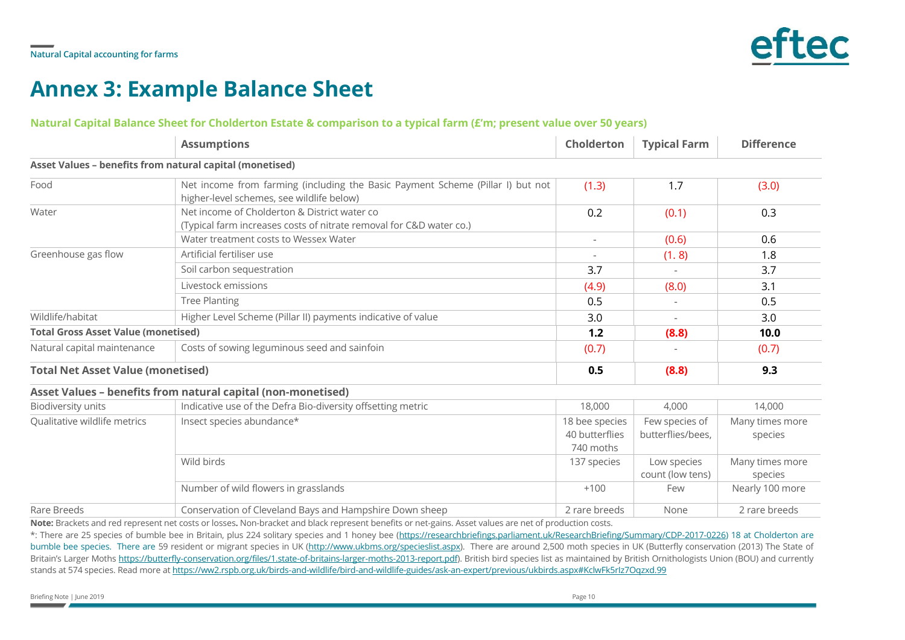

# **Annex 3: Example Balance Sheet**

#### **Natural Capital Balance Sheet for Cholderton Estate & comparison to a typical farm (£'m; present value over 50 years)**

|                                                                             | <b>Assumptions</b>                                                                                                          | <b>Cholderton</b>                             | <b>Typical Farm</b>                 | <b>Difference</b>          |
|-----------------------------------------------------------------------------|-----------------------------------------------------------------------------------------------------------------------------|-----------------------------------------------|-------------------------------------|----------------------------|
| Asset Values - benefits from natural capital (monetised)                    |                                                                                                                             |                                               |                                     |                            |
| Food                                                                        | Net income from farming (including the Basic Payment Scheme (Pillar I) but not<br>higher-level schemes, see wildlife below) | (1.3)                                         | 1.7                                 | (3.0)                      |
| Water                                                                       | Net income of Cholderton & District water co<br>(Typical farm increases costs of nitrate removal for C&D water co.)         | 0.2                                           | (0.1)                               | 0.3                        |
|                                                                             | Water treatment costs to Wessex Water                                                                                       | $\sim$                                        | (0.6)                               | 0.6                        |
| Greenhouse gas flow                                                         | Artificial fertiliser use                                                                                                   | $\sim$                                        | (1.8)                               | 1.8                        |
|                                                                             | Soil carbon sequestration                                                                                                   | 3.7                                           |                                     | 3.7                        |
|                                                                             | Livestock emissions                                                                                                         | (4.9)                                         | (8.0)                               | 3.1                        |
|                                                                             | <b>Tree Planting</b>                                                                                                        | 0.5                                           | $\overline{\phantom{a}}$            | 0.5                        |
| Wildlife/habitat                                                            | Higher Level Scheme (Pillar II) payments indicative of value                                                                | 3.0                                           | $\overline{\phantom{a}}$            | 3.0                        |
| <b>Total Gross Asset Value (monetised)</b>                                  |                                                                                                                             | 1.2                                           | (8.8)                               | 10.0                       |
| Costs of sowing leguminous seed and sainfoin<br>Natural capital maintenance |                                                                                                                             | (0.7)                                         |                                     | (0.7)                      |
| <b>Total Net Asset Value (monetised)</b>                                    |                                                                                                                             | 0.5                                           | (8.8)                               | 9.3                        |
|                                                                             | Asset Values - benefits from natural capital (non-monetised)                                                                |                                               |                                     |                            |
| <b>Biodiversity units</b>                                                   | Indicative use of the Defra Bio-diversity offsetting metric                                                                 | 18,000                                        | 4,000                               | 14,000                     |
| Qualitative wildlife metrics                                                | Insect species abundance*                                                                                                   | 18 bee species<br>40 butterflies<br>740 moths | Few species of<br>butterflies/bees. | Many times more<br>species |
|                                                                             | Wild birds                                                                                                                  | 137 species                                   | Low species<br>count (low tens)     | Many times more<br>species |
|                                                                             | Number of wild flowers in grasslands                                                                                        | $+100$                                        | Few                                 | Nearly 100 more            |
| Rare Breeds                                                                 | Conservation of Cleveland Bays and Hampshire Down sheep                                                                     | 2 rare breeds                                 | None                                | 2 rare breeds              |

**Note:** Brackets and red represent net costs or losses**.** Non-bracket and black represent benefits or net-gains. Asset values are net of production costs.

\*: There are 25 species of bumble bee in Britain, plus 224 solitary species and 1 honey bee [\(https://researchbriefings.parliament.uk/ResearchBriefing/Summary/CDP-2017-0226\)](https://researchbriefings.parliament.uk/ResearchBriefing/Summary/CDP-2017-0226) 18 at Cholderton are bumble bee species. There are 59 resident or migrant species in UK [\(http://www.ukbms.org/specieslist.aspx\)](http://www.ukbms.org/specieslist.aspx). There are around 2,500 moth species in UK (Butterfly conservation (2013) The State of Britain's Larger Moths [https://butterfly-conservation.org/files/1.state-of-britains-larger-moths-2013-report.pdf\).](https://butterfly-conservation.org/files/1.state-of-britains-larger-moths-2013-report.pdf) British bird species list as maintained by British Ornithologists Union (BOU) and currently stands at 574 species. Read more a[t https://ww2.rspb.org.uk/birds-and-wildlife/bird-and-wildlife-guides/ask-an-expert/previous/ukbirds.aspx#KclwFk5rIz7Oqzxd.99](https://ww2.rspb.org.uk/birds-and-wildlife/bird-and-wildlife-guides/ask-an-expert/previous/ukbirds.aspx#KclwFk5rIz7Oqzxd.99)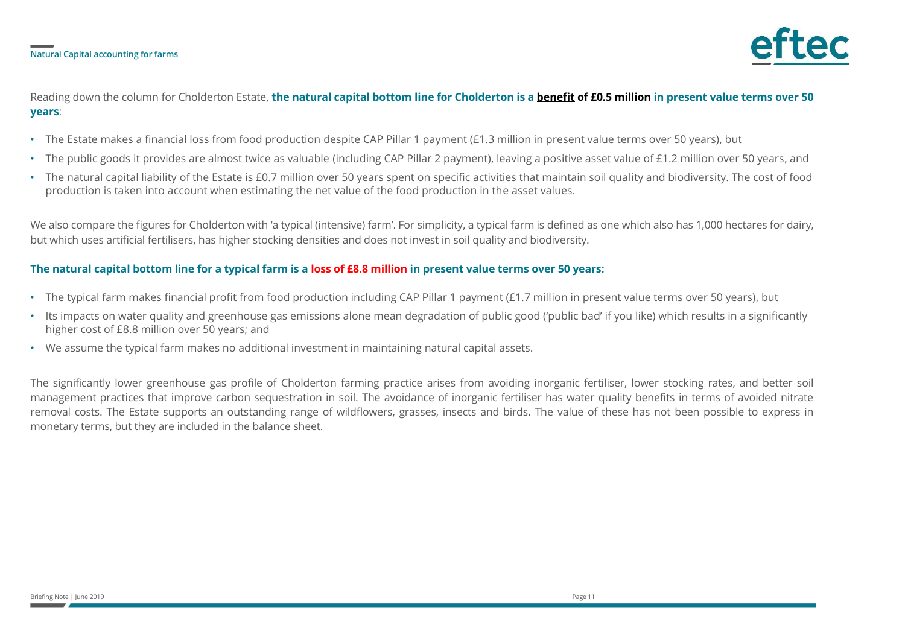

### Reading down the column for Cholderton Estate, **the natural capital bottom line for Cholderton is a benefit of £0.5 million in present value terms over 50 years**:

- The Estate makes a financial loss from food production despite CAP Pillar 1 payment (£1.3 million in present value terms over 50 years), but
- The public goods it provides are almost twice as valuable (including CAP Pillar 2 payment), leaving a positive asset value of £1.2 million over 50 years, and
- The natural capital liability of the Estate is £0.7 million over 50 years spent on specific activities that maintain soil quality and biodiversity. The cost of food production is taken into account when estimating the net value of the food production in the asset values.

We also compare the figures for Cholderton with 'a typical (intensive) farm'. For simplicity, a typical farm is defined as one which also has 1,000 hectares for dairy, but which uses artificial fertilisers, has higher stocking densities and does not invest in soil quality and biodiversity.

### **The natural capital bottom line for a typical farm is a loss of £8.8 million in present value terms over 50 years:**

- The typical farm makes financial profit from food production including CAP Pillar 1 payment (£1.7 million in present value terms over 50 years), but
- Its impacts on water quality and greenhouse gas emissions alone mean degradation of public good ('public bad' if you like) which results in a significantly higher cost of £8.8 million over 50 years; and
- We assume the typical farm makes no additional investment in maintaining natural capital assets.

The significantly lower greenhouse gas profile of Cholderton farming practice arises from avoiding inorganic fertiliser, lower stocking rates, and better soil management practices that improve carbon sequestration in soil. The avoidance of inorganic fertiliser has water quality benefits in terms of avoided nitrate removal costs. The Estate supports an outstanding range of wildflowers, grasses, insects and birds. The value of these has not been possible to express in monetary terms, but they are included in the balance sheet.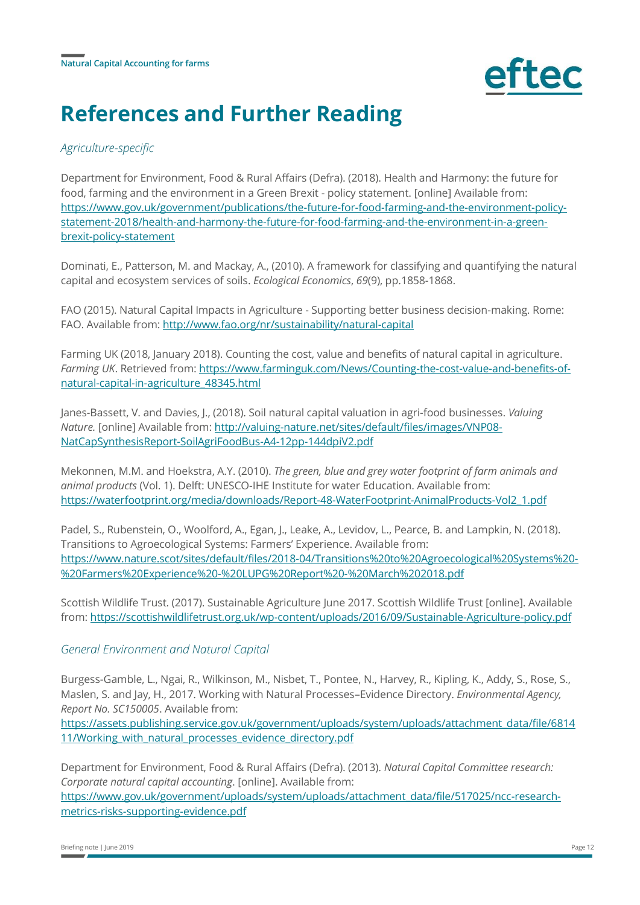

# **References and Further Reading**

### *Agriculture-specific*

Department for Environment, Food & Rural Affairs (Defra). (2018). Health and Harmony: the future for food, farming and the environment in a Green Brexit - policy statement. [online] Available from: [https://www.gov.uk/government/publications/the-future-for-food-farming-and-the-environment-policy](https://www.gov.uk/government/publications/the-future-for-food-farming-and-the-environment-policy-statement-2018/health-and-harmony-the-future-for-food-farming-and-the-environment-in-a-green-brexit-policy-statement)[statement-2018/health-and-harmony-the-future-for-food-farming-and-the-environment-in-a-green](https://www.gov.uk/government/publications/the-future-for-food-farming-and-the-environment-policy-statement-2018/health-and-harmony-the-future-for-food-farming-and-the-environment-in-a-green-brexit-policy-statement)[brexit-policy-statement](https://www.gov.uk/government/publications/the-future-for-food-farming-and-the-environment-policy-statement-2018/health-and-harmony-the-future-for-food-farming-and-the-environment-in-a-green-brexit-policy-statement)

Dominati, E., Patterson, M. and Mackay, A., (2010). A framework for classifying and quantifying the natural capital and ecosystem services of soils. *Ecological Economics*, *69*(9), pp.1858-1868.

FAO (2015). Natural Capital Impacts in Agriculture - Supporting better business decision-making. Rome: FAO. Available from[: http://www.fao.org/nr/sustainability/natural-capital](http://www.fao.org/nr/sustainability/natural-capital)

Farming UK (2018, January 2018). Counting the cost, value and benefits of natural capital in agriculture. *Farming UK*. Retrieved from: [https://www.farminguk.com/News/Counting-the-cost-value-and-benefits-of](https://www.farminguk.com/News/Counting-the-cost-value-and-benefits-of-natural-capital-in-agriculture_48345.html)[natural-capital-in-agriculture\\_48345.html](https://www.farminguk.com/News/Counting-the-cost-value-and-benefits-of-natural-capital-in-agriculture_48345.html)

Janes-Bassett, V. and Davies, J., (2018). Soil natural capital valuation in agri-food businesses. *Valuing Nature.* [online] Available from[: http://valuing-nature.net/sites/default/files/images/VNP08-](http://valuing-nature.net/sites/default/files/images/VNP08-NatCapSynthesisReport-SoilAgriFoodBus-A4-12pp-144dpiV2.pdf) [NatCapSynthesisReport-SoilAgriFoodBus-A4-12pp-144dpiV2.pdf](http://valuing-nature.net/sites/default/files/images/VNP08-NatCapSynthesisReport-SoilAgriFoodBus-A4-12pp-144dpiV2.pdf)

Mekonnen, M.M. and Hoekstra, A.Y. (2010). *The green, blue and grey water footprint of farm animals and animal products* (Vol. 1). Delft: UNESCO-IHE Institute for water Education. Available from: [https://waterfootprint.org/media/downloads/Report-48-WaterFootprint-AnimalProducts-Vol2\\_1.pdf](https://waterfootprint.org/media/downloads/Report-48-WaterFootprint-AnimalProducts-Vol2_1.pdf)

Padel, S., Rubenstein, O., Woolford, A., Egan, J., Leake, A., Levidov, L., Pearce, B. and Lampkin, N. (2018). Transitions to Agroecological Systems: Farmers' Experience. Available from: [https://www.nature.scot/sites/default/files/2018-04/Transitions%20to%20Agroecological%20Systems%20-](https://www.nature.scot/sites/default/files/2018-04/Transitions%20to%20Agroecological%20Systems%20-%20Farmers%20Experience%20-%20LUPG%20Report%20-%20March%202018.pdf) [%20Farmers%20Experience%20-%20LUPG%20Report%20-%20March%202018.pdf](https://www.nature.scot/sites/default/files/2018-04/Transitions%20to%20Agroecological%20Systems%20-%20Farmers%20Experience%20-%20LUPG%20Report%20-%20March%202018.pdf)

Scottish Wildlife Trust. (2017). Sustainable Agriculture June 2017. Scottish Wildlife Trust [online]. Available from:<https://scottishwildlifetrust.org.uk/wp-content/uploads/2016/09/Sustainable-Agriculture-policy.pdf>

### *General Environment and Natural Capital*

Burgess-Gamble, L., Ngai, R., Wilkinson, M., Nisbet, T., Pontee, N., Harvey, R., Kipling, K., Addy, S., Rose, S., Maslen, S. and Jay, H., 2017. Working with Natural Processes–Evidence Directory. *Environmental Agency, Report No. SC150005*. Available from:

[https://assets.publishing.service.gov.uk/government/uploads/system/uploads/attachment\\_data/file/6814](https://assets.publishing.service.gov.uk/government/uploads/system/uploads/attachment_data/file/681411/Working_with_natural_processes_evidence_directory.pdf) [11/Working\\_with\\_natural\\_processes\\_evidence\\_directory.pdf](https://assets.publishing.service.gov.uk/government/uploads/system/uploads/attachment_data/file/681411/Working_with_natural_processes_evidence_directory.pdf)

Department for Environment, Food & Rural Affairs (Defra). (2013). *Natural Capital Committee research: Corporate natural capital accounting*. [online]. Available from: [https://www.gov.uk/government/uploads/system/uploads/attachment\\_data/file/517025/ncc-research](https://www.gov.uk/government/uploads/system/uploads/attachment_data/file/517025/ncc-research-metrics-risks-supporting-evidence.pdf)[metrics-risks-supporting-evidence.pdf](https://www.gov.uk/government/uploads/system/uploads/attachment_data/file/517025/ncc-research-metrics-risks-supporting-evidence.pdf)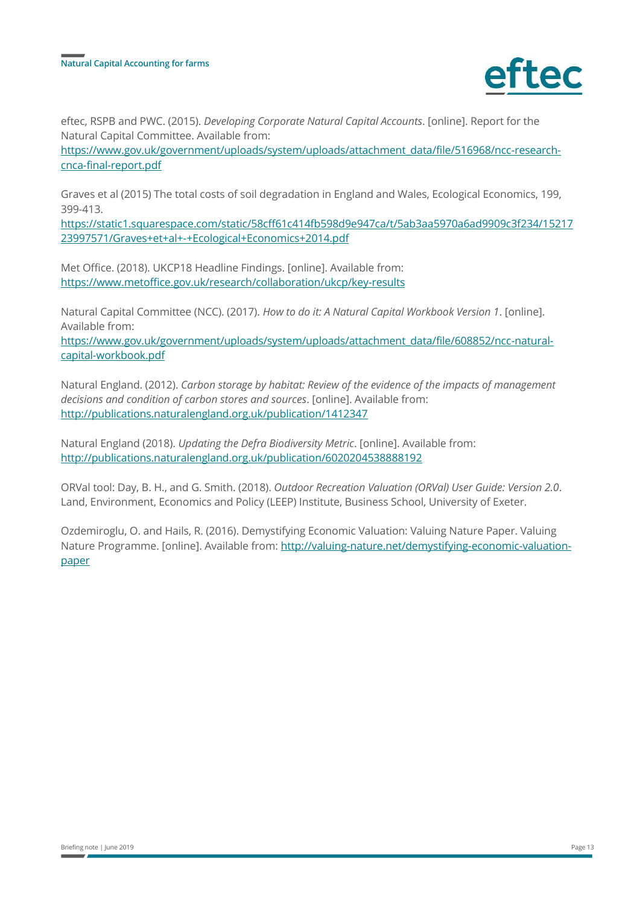

eftec, RSPB and PWC. (2015). *Developing Corporate Natural Capital Accounts*. [online]. Report for the Natural Capital Committee. Available from:

[https://www.gov.uk/government/uploads/system/uploads/attachment\\_data/file/516968/ncc-research](https://www.gov.uk/government/uploads/system/uploads/attachment_data/file/516968/ncc-research-cnca-final-report.pdf)[cnca-final-report.pdf](https://www.gov.uk/government/uploads/system/uploads/attachment_data/file/516968/ncc-research-cnca-final-report.pdf)

Graves et al (2015) The total costs of soil degradation in England and Wales, Ecological Economics, 199, 399-413.

[https://static1.squarespace.com/static/58cff61c414fb598d9e947ca/t/5ab3aa5970a6ad9909c3f234/15217](https://static1.squarespace.com/static/58cff61c414fb598d9e947ca/t/5ab3aa5970a6ad9909c3f234/1521723997571/Graves+et+al+-+Ecological+Economics+2014.pdf) [23997571/Graves+et+al+-+Ecological+Economics+2014.pdf](https://static1.squarespace.com/static/58cff61c414fb598d9e947ca/t/5ab3aa5970a6ad9909c3f234/1521723997571/Graves+et+al+-+Ecological+Economics+2014.pdf)

Met Office. (2018). UKCP18 Headline Findings. [online]. Available from: <https://www.metoffice.gov.uk/research/collaboration/ukcp/key-results>

Natural Capital Committee (NCC). (2017). *How to do it: A Natural Capital Workbook Version 1*. [online]. Available from:

[https://www.gov.uk/government/uploads/system/uploads/attachment\\_data/file/608852/ncc-natural](https://www.gov.uk/government/uploads/system/uploads/attachment_data/file/608852/ncc-natural-capital-workbook.pdf)[capital-workbook.pdf](https://www.gov.uk/government/uploads/system/uploads/attachment_data/file/608852/ncc-natural-capital-workbook.pdf)

Natural England. (2012). *Carbon storage by habitat: Review of the evidence of the impacts of management decisions and condition of carbon stores and sources*. [online]. Available from: <http://publications.naturalengland.org.uk/publication/1412347>

Natural England (2018). *Updating the Defra Biodiversity Metric*. [online]. Available from: <http://publications.naturalengland.org.uk/publication/6020204538888192>

ORVal tool: Day, B. H., and G. Smith. (2018). *Outdoor Recreation Valuation (ORVal) User Guide: Version 2.0*. Land, Environment, Economics and Policy (LEEP) Institute, Business School, University of Exeter.

Ozdemiroglu, O. and Hails, R. (2016). Demystifying Economic Valuation: Valuing Nature Paper. Valuing Nature Programme. [online]. Available from: [http://valuing-nature.net/demystifying-economic-valuation](http://valuing-nature.net/demystifying-economic-valuation-paper)[paper](http://valuing-nature.net/demystifying-economic-valuation-paper)